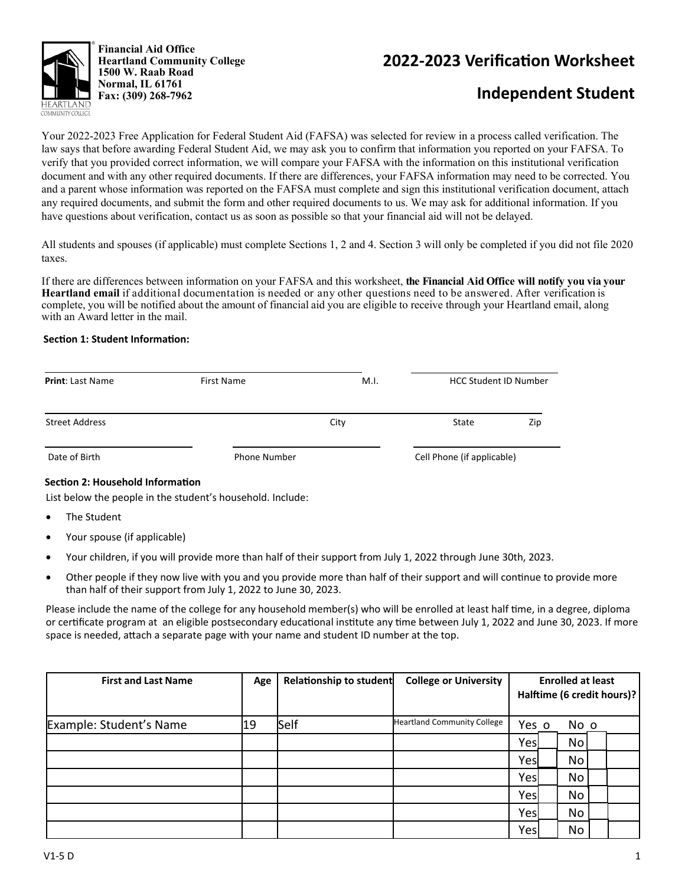

**Financial Aid Office Heartland Community College 1500 W. Raab Road Normal, IL 61761 Fax: (309) 268-7962** 

## **2022‐2023 VerificaƟon Worksheet**

# **Independent Student**

Your 2022-2023 Free Application for Federal Student Aid (FAFSA) was selected for review in a process called verification. The law says that before awarding Federal Student Aid, we may ask you to confirm that information you reported on your FAFSA. To verify that you provided correct information, we will compare your FAFSA with the information on this institutional verification document and with any other required documents. If there are differences, your FAFSA information may need to be corrected. You and a parent whose information was reported on the FAFSA must complete and sign this institutional verification document, attach any required documents, and submit the form and other required documents to us. We may ask for additional information. If you have questions about verification, contact us as soon as possible so that your financial aid will not be delayed.

All students and spouses (if applicable) must complete Sections 1, 2 and 4. Section 3 will only be completed if you did not file 2020 taxes.

If there are differences between information on your FAFSA and this worksheet, **the Financial Aid Office will notify you via your Heartland email** if additional documentation is needed or any other questions need to be answered. After verification is complete, you will be notified about the amount of financial aid you are eligible to receive through your Heartland email, along with an Award letter in the mail.

#### **SecƟon 1: Student InformaƟon:**

| <b>Print: Last Name</b> | First Name          | M.I. | <b>HCC Student ID Number</b> |     |  |
|-------------------------|---------------------|------|------------------------------|-----|--|
| <b>Street Address</b>   |                     | City | State                        | Zip |  |
| Date of Birth           | <b>Phone Number</b> |      | Cell Phone (if applicable)   |     |  |

#### **Section 2: Household Information**

List below the people in the student's household. Include:

- The Student
- Your spouse (if applicable)
- Your children, if you will provide more than half of their support from July 1, 2022 through June 30th, 2023.
- Other people if they now live with you and you provide more than half of their support and will continue to provide more than half of their support from July 1, 2022 to June 30, 2023.

Please include the name of the college for any household member(s) who will be enrolled at least half time, in a degree, diploma or certificate program at an eligible postsecondary educational institute any time between July 1, 2022 and June 30, 2023. If more space is needed, attach a separate page with your name and student ID number at the top.

| <b>First and Last Name</b> | Age | <b>Relationship to student</b> | <b>College or University</b>       | <b>Enrolled at least</b><br>Halftime (6 credit hours)? |  |                |  |  |
|----------------------------|-----|--------------------------------|------------------------------------|--------------------------------------------------------|--|----------------|--|--|
| Example: Student's Name    | 19  | Self                           | <b>Heartland Community College</b> | Yes o                                                  |  | No o           |  |  |
|                            |     |                                |                                    | Yes                                                    |  | N <sub>o</sub> |  |  |
|                            |     |                                |                                    | Yes                                                    |  | No             |  |  |
|                            |     |                                |                                    | Yes                                                    |  | No             |  |  |
|                            |     |                                |                                    | Yes                                                    |  | No             |  |  |
|                            |     |                                |                                    | Yes                                                    |  | No             |  |  |
|                            |     |                                |                                    | Yes                                                    |  | No             |  |  |